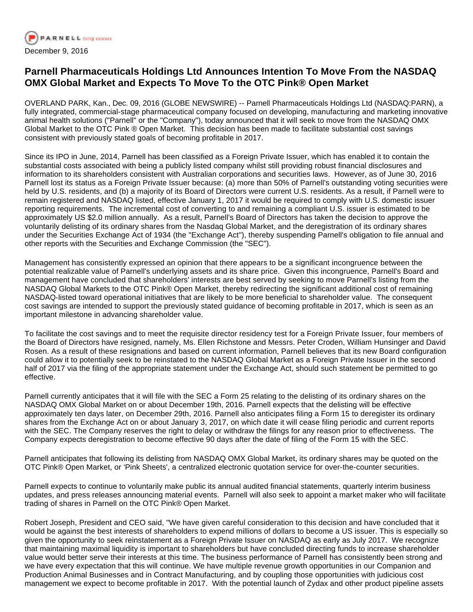

## **Parnell Pharmaceuticals Holdings Ltd Announces Intention To Move From the NASDAQ OMX Global Market and Expects To Move To the OTC Pink® Open Market**

OVERLAND PARK, Kan., Dec. 09, 2016 (GLOBE NEWSWIRE) -- Parnell Pharmaceuticals Holdings Ltd (NASDAQ:PARN), a fully integrated, commercial-stage pharmaceutical company focused on developing, manufacturing and marketing innovative animal health solutions ("Parnell" or the "Company"), today announced that it will seek to move from the NASDAQ OMX Global Market to the OTC Pink ® Open Market. This decision has been made to facilitate substantial cost savings consistent with previously stated goals of becoming profitable in 2017.

Since its IPO in June, 2014, Parnell has been classified as a Foreign Private Issuer, which has enabled it to contain the substantial costs associated with being a publicly listed company whilst still providing robust financial disclosures and information to its shareholders consistent with Australian corporations and securities laws. However, as of June 30, 2016 Parnell lost its status as a Foreign Private Issuer because: (a) more than 50% of Parnell's outstanding voting securities were held by U.S. residents, and (b) a majority of its Board of Directors were current U.S. residents. As a result, if Parnell were to remain registered and NASDAQ listed, effective January 1, 2017 it would be required to comply with U.S. domestic issuer reporting requirements. The incremental cost of converting to and remaining a compliant U.S. issuer is estimated to be approximately US \$2.0 million annually. As a result, Parnell's Board of Directors has taken the decision to approve the voluntarily delisting of its ordinary shares from the Nasdaq Global Market, and the deregistration of its ordinary shares under the Securities Exchange Act of 1934 (the "Exchange Act"), thereby suspending Parnell's obligation to file annual and other reports with the Securities and Exchange Commission (the "SEC").

Management has consistently expressed an opinion that there appears to be a significant incongruence between the potential realizable value of Parnell's underlying assets and its share price. Given this incongruence, Parnell's Board and management have concluded that shareholders' interests are best served by seeking to move Parnell's listing from the NASDAQ Global Markets to the OTC Pink® Open Market, thereby redirecting the significant additional cost of remaining NASDAQ-listed toward operational initiatives that are likely to be more beneficial to shareholder value. The consequent cost savings are intended to support the previously stated guidance of becoming profitable in 2017, which is seen as an important milestone in advancing shareholder value.

To facilitate the cost savings and to meet the requisite director residency test for a Foreign Private Issuer, four members of the Board of Directors have resigned, namely, Ms. Ellen Richstone and Messrs. Peter Croden, William Hunsinger and David Rosen. As a result of these resignations and based on current information, Parnell believes that its new Board configuration could allow it to potentially seek to be reinstated to the NASDAQ Global Market as a Foreign Private Issuer in the second half of 2017 via the filing of the appropriate statement under the Exchange Act, should such statement be permitted to go effective.

Parnell currently anticipates that it will file with the SEC a Form 25 relating to the delisting of its ordinary shares on the NASDAQ OMX Global Market on or about December 19th, 2016. Parnell expects that the delisting will be effective approximately ten days later, on December 29th, 2016. Parnell also anticipates filing a Form 15 to deregister its ordinary shares from the Exchange Act on or about January 3, 2017, on which date it will cease filing periodic and current reports with the SEC. The Company reserves the right to delay or withdraw the filings for any reason prior to effectiveness. The Company expects deregistration to become effective 90 days after the date of filing of the Form 15 with the SEC.

Parnell anticipates that following its delisting from NASDAQ OMX Global Market, its ordinary shares may be quoted on the OTC Pink® Open Market, or 'Pink Sheets', a centralized electronic quotation service for over-the-counter securities.

Parnell expects to continue to voluntarily make public its annual audited financial statements, quarterly interim business updates, and press releases announcing material events. Parnell will also seek to appoint a market maker who will facilitate trading of shares in Parnell on the OTC Pink® Open Market.

Robert Joseph, President and CEO said, "We have given careful consideration to this decision and have concluded that it would be against the best interests of shareholders to expend millions of dollars to become a US issuer. This is especially so given the opportunity to seek reinstatement as a Foreign Private Issuer on NASDAQ as early as July 2017. We recognize that maintaining maximal liquidity is important to shareholders but have concluded directing funds to increase shareholder value would better serve their interests at this time. The business performance of Parnell has consistently been strong and we have every expectation that this will continue. We have multiple revenue growth opportunities in our Companion and Production Animal Businesses and in Contract Manufacturing, and by coupling those opportunities with judicious cost management we expect to become profitable in 2017. With the potential launch of Zydax and other product pipeline assets